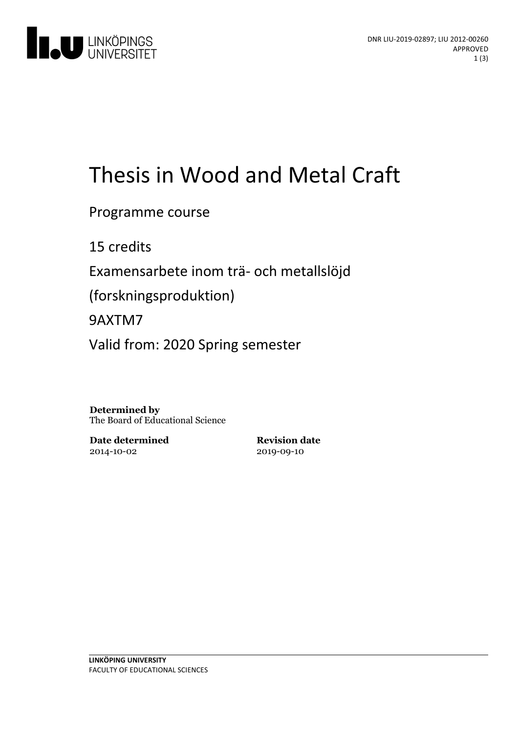

# Thesis in Wood and Metal Craft

Programme course

15 credits

Examensarbete inom trä- och metallslöjd

(forskningsproduktion)

9AXTM7

Valid from: 2020 Spring semester

**Determined by** The Board of Educational Science

**Date determined** 2014-10-02

**Revision date** 2019-09-10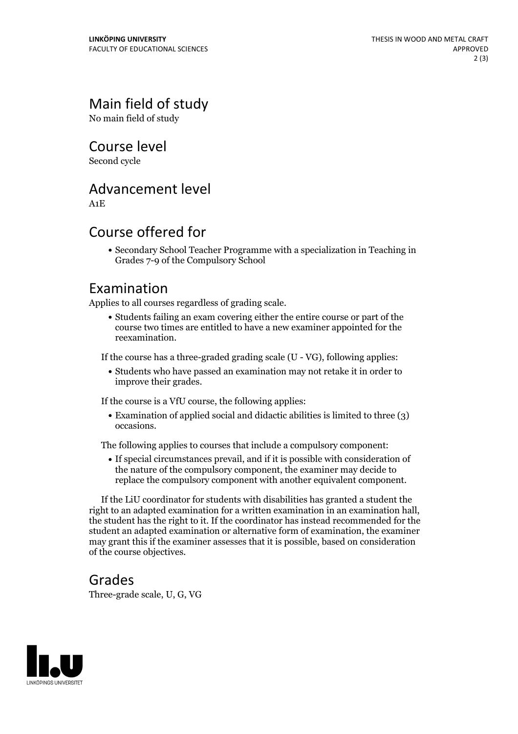## Main field of study

No main field of study

Course level

Second cycle

#### Advancement level

A1E

#### Course offered for

Secondary School Teacher Programme with a specialization in Teaching in Grades 7-9 of the Compulsory School

#### Examination

Applies to all courses regardless of grading scale.

Students failing an exam covering either the entire course or part of the course two times are entitled to have a new examiner appointed for the reexamination.

If the course has a three-graded grading scale (U - VG), following applies:

Students who have passed an examination may not retake it in order to improve their grades.

If the course is a VfU course, the following applies:

Examination of applied social and didactic abilities is limited to three (3) occasions.

The following applies to courses that include a compulsory component:

If special circumstances prevail, and if it is possible with consideration of the nature of the compulsory component, the examiner may decide to replace the compulsory component with another equivalent component.

If the LiU coordinator for students with disabilities has granted a student the right to an adapted examination for <sup>a</sup> written examination in an examination hall, the student has the right to it. If the coordinator has instead recommended for the student an adapted examination or alternative form of examination, the examiner may grant this if the examiner assesses that it is possible, based on consideration of the course objectives.

#### Grades

Three-grade scale, U, G, VG